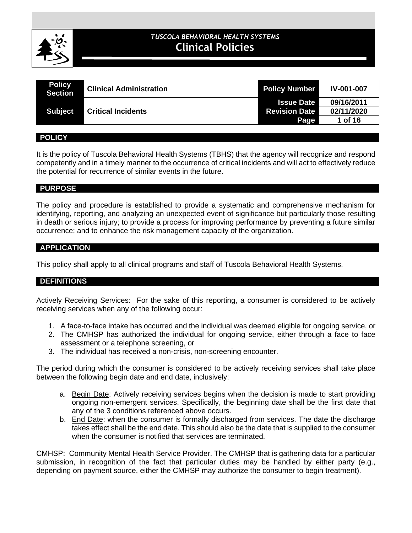

# **CLINICAL POLICIES** *TUSCOLA BEHAVIORAL HEALTH SYSTEMS* **Clinical Policies**

| <b>Policy</b><br><b>Section</b> | <b>Clinical Administration</b> | <b>Policy Number</b> | <b>IV-001-007</b> |
|---------------------------------|--------------------------------|----------------------|-------------------|
|                                 |                                | <b>Issue Date</b>    | 09/16/2011        |
| <b>Subject</b>                  | <b>Critical Incidents</b>      | <b>Revision Date</b> | 02/11/2020        |
|                                 |                                | Page                 | 1 of 16           |

#### **POLICY**

It is the policy of Tuscola Behavioral Health Systems (TBHS) that the agency will recognize and respond competently and in a timely manner to the occurrence of critical incidents and will act to effectively reduce the potential for recurrence of similar events in the future.

#### **PURPOSE**

The policy and procedure is established to provide a systematic and comprehensive mechanism for identifying, reporting, and analyzing an unexpected event of significance but particularly those resulting in death or serious injury; to provide a process for improving performance by preventing a future similar occurrence; and to enhance the risk management capacity of the organization.

#### **APPLICATION**

This policy shall apply to all clinical programs and staff of Tuscola Behavioral Health Systems.

#### **DEFINITIONS**

Actively Receiving Services: For the sake of this reporting, a consumer is considered to be actively receiving services when any of the following occur:

- 1. A face-to-face intake has occurred and the individual was deemed eligible for ongoing service, or
- 2. The CMHSP has authorized the individual for ongoing service, either through a face to face assessment or a telephone screening, or
- 3. The individual has received a non-crisis, non-screening encounter.

The period during which the consumer is considered to be actively receiving services shall take place between the following begin date and end date, inclusively:

- a. Begin Date: Actively receiving services begins when the decision is made to start providing ongoing non-emergent services. Specifically, the beginning date shall be the first date that any of the 3 conditions referenced above occurs.
- b. End Date: when the consumer is formally discharged from services. The date the discharge takes effect shall be the end date. This should also be the date that is supplied to the consumer when the consumer is notified that services are terminated.

CMHSP: Community Mental Health Service Provider. The CMHSP that is gathering data for a particular submission, in recognition of the fact that particular duties may be handled by either party (e.g., depending on payment source, either the CMHSP may authorize the consumer to begin treatment).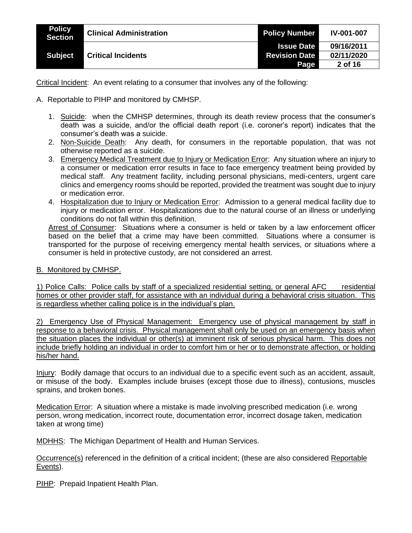| <b>Policy</b><br><b>Section</b> | <b>Clinical Administration</b> | <b>Policy Number</b> | <b>IV-001-007</b> |
|---------------------------------|--------------------------------|----------------------|-------------------|
|                                 |                                | <b>Issue Date</b>    | 09/16/2011        |
| <b>Subject</b>                  | <b>Critical Incidents</b>      | <b>Revision Date</b> | 02/11/2020        |
|                                 |                                | <b>Page</b>          | 2 of 16           |

Critical Incident: An event relating to a consumer that involves any of the following:

- A. Reportable to PIHP and monitored by CMHSP.
	- 1. Suicide: when the CMHSP determines, through its death review process that the consumer's death was a suicide, and/or the official death report (i.e. coroner's report) indicates that the consumer's death was a suicide.
	- 2. Non-Suicide Death: Any death, for consumers in the reportable population, that was not otherwise reported as a suicide.
	- 3. Emergency Medical Treatment due to Injury or Medication Error: Any situation where an injury to a consumer or medication error results in face to face emergency treatment being provided by medical staff. Any treatment facility, including personal physicians, medi-centers, urgent care clinics and emergency rooms should be reported, provided the treatment was sought due to injury or medication error.
	- 4. Hospitalization due to Injury or Medication Error: Admission to a general medical facility due to injury or medication error. Hospitalizations due to the natural course of an illness or underlying conditions do not fall within this definition.

Arrest of Consumer: Situations where a consumer is held or taken by a law enforcement officer based on the belief that a crime may have been committed. Situations where a consumer is transported for the purpose of receiving emergency mental health services, or situations where a consumer is held in protective custody, are not considered an arrest.

B. Monitored by CMHSP.

1) Police Calls: Police calls by staff of a specialized residential setting, or general AFC residential homes or other provider staff, for assistance with an individual during a behavioral crisis situation. This is regardless whether calling police is in the individual's plan.

2) Emergency Use of Physical Management: Emergency use of physical management by staff in response to a behavioral crisis. Physical management shall only be used on an emergency basis when the situation places the individual or other(s) at imminent risk of serious physical harm. This does not include briefly holding an individual in order to comfort him or her or to demonstrate affection, or holding his/her hand.

Injury: Bodily damage that occurs to an individual due to a specific event such as an accident, assault, or misuse of the body. Examples include bruises (except those due to illness), contusions, muscles sprains, and broken bones.

Medication Error: A situation where a mistake is made involving prescribed medication (i.e. wrong person, wrong medication, incorrect route, documentation error, incorrect dosage taken, medication taken at wrong time)

MDHHS: The Michigan Department of Health and Human Services.

Occurrence(s) referenced in the definition of a critical incident; (these are also considered Reportable Events).

PIHP: Prepaid Inpatient Health Plan.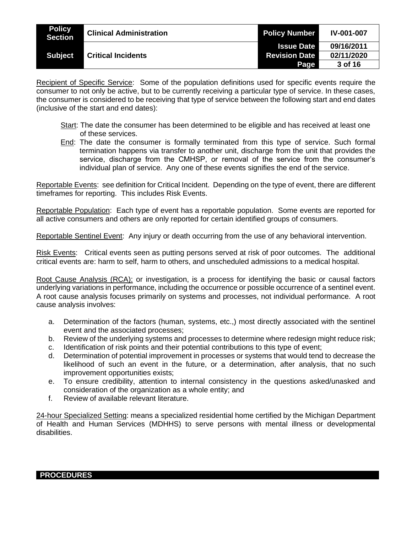| <b>Policy</b><br><b>Section</b> | <b>Clinical Administration</b> | <b>Policy Number</b> | <b>IV-001-007</b> |
|---------------------------------|--------------------------------|----------------------|-------------------|
|                                 |                                | <b>Issue Date</b>    | 09/16/2011        |
| <b>Subject</b>                  | <b>Critical Incidents</b>      | <b>Revision Date</b> | 02/11/2020        |
|                                 |                                | Page                 | 3 of 16           |

Recipient of Specific Service: Some of the population definitions used for specific events require the consumer to not only be active, but to be currently receiving a particular type of service. In these cases, the consumer is considered to be receiving that type of service between the following start and end dates (inclusive of the start and end dates):

- Start: The date the consumer has been determined to be eligible and has received at least one of these services.
- End: The date the consumer is formally terminated from this type of service. Such formal termination happens via transfer to another unit, discharge from the unit that provides the service, discharge from the CMHSP, or removal of the service from the consumer's individual plan of service. Any one of these events signifies the end of the service.

Reportable Events: see definition for Critical Incident. Depending on the type of event, there are different timeframes for reporting. This includes Risk Events.

Reportable Population: Each type of event has a reportable population. Some events are reported for all active consumers and others are only reported for certain identified groups of consumers.

Reportable Sentinel Event: Any injury or death occurring from the use of any behavioral intervention.

Risk Events: Critical events seen as putting persons served at risk of poor outcomes. The additional critical events are: harm to self, harm to others, and unscheduled admissions to a medical hospital.

Root Cause Analysis (RCA): or investigation, is a process for identifying the basic or causal factors underlying variations in performance, including the occurrence or possible occurrence of a sentinel event. A root cause analysis focuses primarily on systems and processes, not individual performance. A root cause analysis involves:

- a. Determination of the factors (human, systems, etc.,) most directly associated with the sentinel event and the associated processes;
- b. Review of the underlying systems and processes to determine where redesign might reduce risk;
- c. Identification of risk points and their potential contributions to this type of event;
- d. Determination of potential improvement in processes or systems that would tend to decrease the likelihood of such an event in the future, or a determination, after analysis, that no such improvement opportunities exists;
- e. To ensure credibility, attention to internal consistency in the questions asked/unasked and consideration of the organization as a whole entity; and
- f. Review of available relevant literature.

24-hour Specialized Setting: means a specialized residential home certified by the Michigan Department of Health and Human Services (MDHHS) to serve persons with mental illness or developmental disabilities.

**PROCEDURES**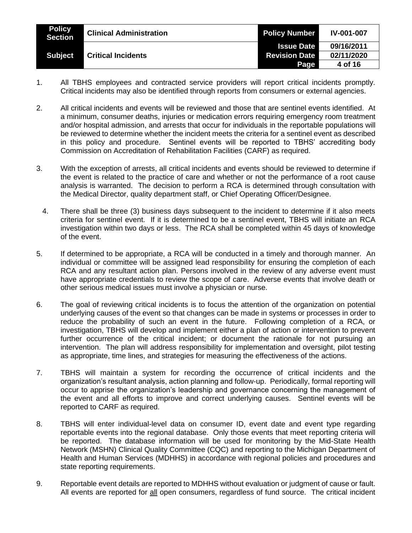| <b>Policy</b><br><b>Section</b> | <b>Clinical Administration</b> | <b>Policy Number</b> | <b>IV-001-007</b> |
|---------------------------------|--------------------------------|----------------------|-------------------|
|                                 |                                | <b>Issue Date</b>    | 09/16/2011        |
| <b>Subject</b>                  | <b>Critical Incidents</b>      | <b>Revision Date</b> | 02/11/2020        |
|                                 |                                | Page                 | 4 of 16           |

- 1. All TBHS employees and contracted service providers will report critical incidents promptly. Critical incidents may also be identified through reports from consumers or external agencies.
- 2. All critical incidents and events will be reviewed and those that are sentinel events identified. At a minimum, consumer deaths, injuries or medication errors requiring emergency room treatment and/or hospital admission, and arrests that occur for individuals in the reportable populations will be reviewed to determine whether the incident meets the criteria for a sentinel event as described in this policy and procedure. Sentinel events will be reported to TBHS' accrediting body Commission on Accreditation of Rehabilitation Facilities (CARF) as required.
- 3. With the exception of arrests, all critical incidents and events should be reviewed to determine if the event is related to the practice of care and whether or not the performance of a root cause analysis is warranted. The decision to perform a RCA is determined through consultation with the Medical Director, quality department staff, or Chief Operating Officer/Designee.
- 4. There shall be three (3) business days subsequent to the incident to determine if it also meets criteria for sentinel event. If it is determined to be a sentinel event, TBHS will initiate an RCA investigation within two days or less. The RCA shall be completed within 45 days of knowledge of the event.
- 5. If determined to be appropriate, a RCA will be conducted in a timely and thorough manner. An individual or committee will be assigned lead responsibility for ensuring the completion of each RCA and any resultant action plan. Persons involved in the review of any adverse event must have appropriate credentials to review the scope of care. Adverse events that involve death or other serious medical issues must involve a physician or nurse.
- 6. The goal of reviewing critical incidents is to focus the attention of the organization on potential underlying causes of the event so that changes can be made in systems or processes in order to reduce the probability of such an event in the future. Following completion of a RCA, or investigation, TBHS will develop and implement either a plan of action or intervention to prevent further occurrence of the critical incident; or document the rationale for not pursuing an intervention. The plan will address responsibility for implementation and oversight, pilot testing as appropriate, time lines, and strategies for measuring the effectiveness of the actions.
- 7. TBHS will maintain a system for recording the occurrence of critical incidents and the organization's resultant analysis, action planning and follow-up. Periodically, formal reporting will occur to apprise the organization's leadership and governance concerning the management of the event and all efforts to improve and correct underlying causes. Sentinel events will be reported to CARF as required.
- 8. TBHS will enter individual-level data on consumer ID, event date and event type regarding reportable events into the regional database. Only those events that meet reporting criteria will be reported. The database information will be used for monitoring by the Mid-State Health Network (MSHN) Clinical Quality Committee (CQC) and reporting to the Michigan Department of Health and Human Services (MDHHS) in accordance with regional policies and procedures and state reporting requirements.
- 9. Reportable event details are reported to MDHHS without evaluation or judgment of cause or fault. All events are reported for all open consumers, regardless of fund source. The critical incident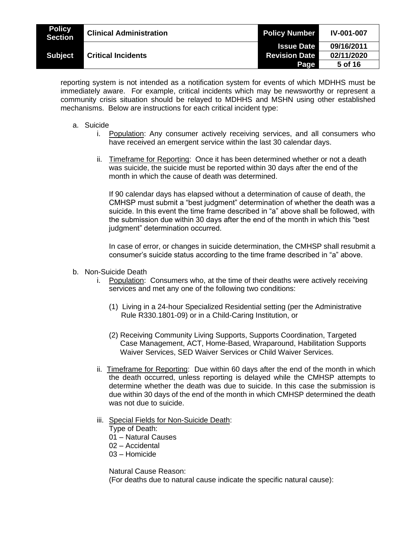| <b>Policy</b><br><b>Section</b> | <b>Clinical Administration</b> | <b>Policy Number</b>                      | <b>IV-001-007</b> |
|---------------------------------|--------------------------------|-------------------------------------------|-------------------|
| <b>Subject</b>                  |                                | <b>Issue Date</b><br><b>Revision Date</b> | 09/16/2011        |
|                                 | <b>Critical Incidents</b>      |                                           | 02/11/2020        |
|                                 |                                | Page                                      | 5 of 16           |

reporting system is not intended as a notification system for events of which MDHHS must be immediately aware. For example, critical incidents which may be newsworthy or represent a community crisis situation should be relayed to MDHHS and MSHN using other established mechanisms. Below are instructions for each critical incident type:

- a. Suicide
	- i. Population: Any consumer actively receiving services, and all consumers who have received an emergent service within the last 30 calendar days.
	- ii. Timeframe for Reporting: Once it has been determined whether or not a death was suicide, the suicide must be reported within 30 days after the end of the month in which the cause of death was determined.

If 90 calendar days has elapsed without a determination of cause of death, the CMHSP must submit a "best judgment" determination of whether the death was a suicide. In this event the time frame described in "a" above shall be followed, with the submission due within 30 days after the end of the month in which this "best judgment" determination occurred.

In case of error, or changes in suicide determination, the CMHSP shall resubmit a consumer's suicide status according to the time frame described in "a" above.

- b. Non-Suicide Death
	- i. Population: Consumers who, at the time of their deaths were actively receiving services and met any one of the following two conditions:
		- (1) Living in a 24-hour Specialized Residential setting (per the Administrative Rule R330.1801-09) or in a Child-Caring Institution, or
		- (2) Receiving Community Living Supports, Supports Coordination, Targeted Case Management, ACT, Home-Based, Wraparound, Habilitation Supports Waiver Services, SED Waiver Services or Child Waiver Services.
	- ii. Timeframe for Reporting: Due within 60 days after the end of the month in which the death occurred, unless reporting is delayed while the CMHSP attempts to determine whether the death was due to suicide. In this case the submission is due within 30 days of the end of the month in which CMHSP determined the death was not due to suicide.
	- iii. Special Fields for Non-Suicide Death:
		- Type of Death:
		- 01 Natural Causes
		- 02 Accidental
		- 03 Homicide

Natural Cause Reason: (For deaths due to natural cause indicate the specific natural cause):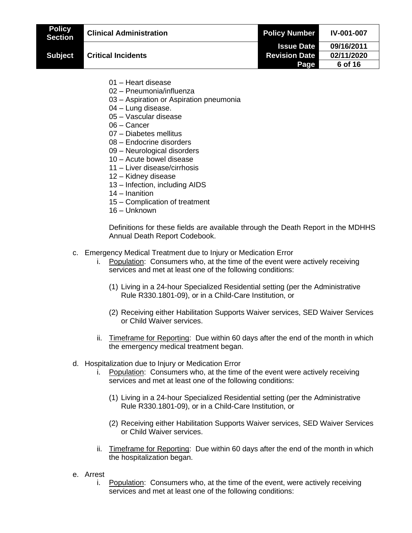| <b>Policy</b><br><b>Section</b> | <b>Clinical Administration</b>                                                                                                                                                                                      | <b>Policy Number</b>         | IV-001-007            |
|---------------------------------|---------------------------------------------------------------------------------------------------------------------------------------------------------------------------------------------------------------------|------------------------------|-----------------------|
|                                 |                                                                                                                                                                                                                     | <b>Issue Date</b>            | 09/16/2011            |
| <b>Subject</b>                  | <b>Critical Incidents</b>                                                                                                                                                                                           | <b>Revision Date</b><br>Page | 02/11/2020<br>6 of 16 |
|                                 |                                                                                                                                                                                                                     |                              |                       |
|                                 | 01 - Heart disease                                                                                                                                                                                                  |                              |                       |
|                                 | 02 - Pneumonia/influenza<br>03 - Aspiration or Aspiration pneumonia                                                                                                                                                 |                              |                       |
|                                 | 04 - Lung disease.                                                                                                                                                                                                  |                              |                       |
|                                 | 05 - Vascular disease                                                                                                                                                                                               |                              |                       |
|                                 | 06 - Cancer                                                                                                                                                                                                         |                              |                       |
|                                 | 07 - Diabetes mellitus<br>08 - Endocrine disorders                                                                                                                                                                  |                              |                       |
|                                 | 09 - Neurological disorders                                                                                                                                                                                         |                              |                       |
|                                 | 10 - Acute bowel disease                                                                                                                                                                                            |                              |                       |
|                                 | 11 - Liver disease/cirrhosis                                                                                                                                                                                        |                              |                       |
|                                 | 12 - Kidney disease                                                                                                                                                                                                 |                              |                       |
|                                 | 13 - Infection, including AIDS<br>14 - Inanition                                                                                                                                                                    |                              |                       |
|                                 | 15 - Complication of treatment                                                                                                                                                                                      |                              |                       |
|                                 | 16 - Unknown                                                                                                                                                                                                        |                              |                       |
|                                 | Definitions for these fields are available through the Death Report in the MDHHS<br>Annual Death Report Codebook.                                                                                                   |                              |                       |
|                                 | c. Emergency Medical Treatment due to Injury or Medication Error<br>Population: Consumers who, at the time of the event were actively receiving<br>i.<br>services and met at least one of the following conditions: |                              |                       |
|                                 | (1) Living in a 24-hour Specialized Residential setting (per the Administrative<br>Rule R330.1801-09), or in a Child-Care Institution, or                                                                           |                              |                       |
|                                 | (2) Receiving either Habilitation Supports Waiver services, SED Waiver Services<br>or Child Waiver services.                                                                                                        |                              |                       |
|                                 | Timeframe for Reporting: Due within 60 days after the end of the month in which<br>ii.<br>the emergency medical treatment began.                                                                                    |                              |                       |
|                                 | d. Hospitalization due to Injury or Medication Error<br>Population: Consumers who, at the time of the event were actively receiving<br>Ι.<br>services and met at least one of the following conditions:             |                              |                       |
|                                 | (1) Living in a 24-hour Specialized Residential setting (per the Administrative<br>Rule R330.1801-09), or in a Child-Care Institution, or                                                                           |                              |                       |
|                                 | (2) Receiving either Habilitation Supports Waiver services, SED Waiver Services<br>or Child Waiver services.                                                                                                        |                              |                       |
|                                 | Timeframe for Reporting: Due within 60 days after the end of the month in which<br>ii.<br>the hospitalization began.                                                                                                |                              |                       |

- e. Arrest
	- i. Population: Consumers who, at the time of the event, were actively receiving services and met at least one of the following conditions: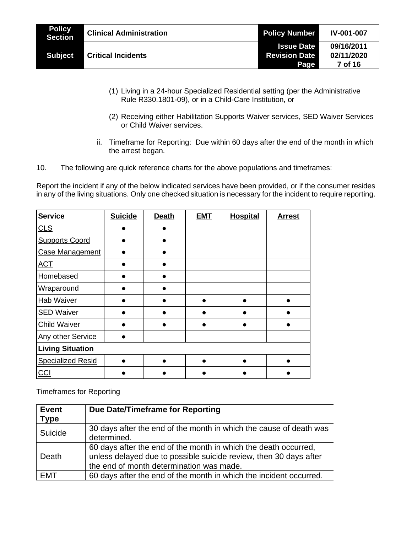| <b>Policy</b><br><b>Section</b> | <b>Clinical Administration</b> | <b>Policy Number</b> | <b>IV-001-007</b> |
|---------------------------------|--------------------------------|----------------------|-------------------|
|                                 |                                | <b>Issue Date</b>    | 09/16/2011        |
| <b>Subject</b>                  | <b>Critical Incidents</b>      | <b>Revision Date</b> | 02/11/2020        |
|                                 |                                | Page                 | 7 of 16           |

- (1) Living in a 24-hour Specialized Residential setting (per the Administrative Rule R330.1801-09), or in a Child-Care Institution, or
- (2) Receiving either Habilitation Supports Waiver services, SED Waiver Services or Child Waiver services.
- ii. Timeframe for Reporting: Due within 60 days after the end of the month in which the arrest began.
- 10. The following are quick reference charts for the above populations and timeframes:

Report the incident if any of the below indicated services have been provided, or if the consumer resides in any of the living situations. Only one checked situation is necessary for the incident to require reporting.

| <b>Service</b>           | <b>Suicide</b> | <b>Death</b> | <b>EMT</b> | Hospital | <b>Arrest</b> |
|--------------------------|----------------|--------------|------------|----------|---------------|
| CLS                      |                |              |            |          |               |
| <b>Supports Coord</b>    |                |              |            |          |               |
| <b>Case Management</b>   |                |              |            |          |               |
| <b>ACT</b>               |                |              |            |          |               |
| Homebased                |                |              |            |          |               |
| Wraparound               |                |              |            |          |               |
| <b>Hab Waiver</b>        |                |              |            |          |               |
| <b>SED Waiver</b>        |                |              |            |          |               |
| <b>Child Waiver</b>      |                |              |            |          |               |
| Any other Service        |                |              |            |          |               |
| <b>Living Situation</b>  |                |              |            |          |               |
| <b>Specialized Resid</b> |                |              |            |          |               |
| $CC$                     |                |              |            |          |               |

Timeframes for Reporting

| <b>Event</b><br><b>Type</b> | Due Date/Timeframe for Reporting                                                                                                                                                 |
|-----------------------------|----------------------------------------------------------------------------------------------------------------------------------------------------------------------------------|
| Suicide                     | 30 days after the end of the month in which the cause of death was<br>determined.                                                                                                |
| Death                       | 60 days after the end of the month in which the death occurred,<br>unless delayed due to possible suicide review, then 30 days after<br>the end of month determination was made. |
| EMT                         | 60 days after the end of the month in which the incident occurred.                                                                                                               |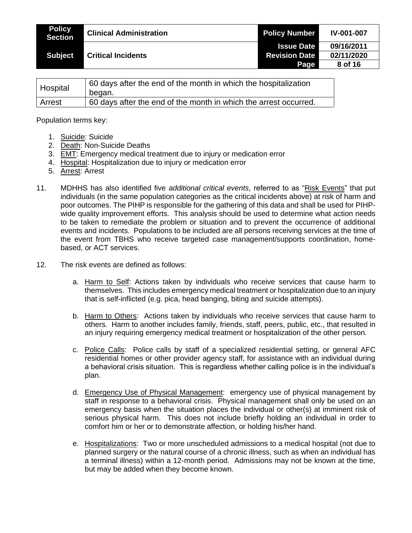| <b>Policy</b><br><b>Section</b> | <b>Clinical Administration</b> | <b>Policy Number</b> | <b>IV-001-007</b> |
|---------------------------------|--------------------------------|----------------------|-------------------|
|                                 |                                | <b>Issue Date</b>    | 09/16/2011        |
| <b>Subject</b>                  | <b>Critical Incidents</b>      | <b>Revision Date</b> | 02/11/2020        |
|                                 |                                | Page                 | 8 of 16           |

| Hospital      | 60 days after the end of the month in which the hospitalization  |
|---------------|------------------------------------------------------------------|
|               | began.                                                           |
| <b>Arrest</b> | 60 days after the end of the month in which the arrest occurred. |

Population terms key:

- 1. Suicide: Suicide
- 2. Death: Non-Suicide Deaths
- 3. EMT: Emergency medical treatment due to injury or medication error
- 4. Hospital: Hospitalization due to injury or medication error
- 5. Arrest: Arrest
- 11. MDHHS has also identified five *additional critical events*, referred to as "Risk Events" that put individuals (in the same population categories as the critical incidents above) at risk of harm and poor outcomes. The PIHP is responsible for the gathering of this data and shall be used for PIHPwide quality improvement efforts. This analysis should be used to determine what action needs to be taken to remediate the problem or situation and to prevent the occurrence of additional events and incidents. Populations to be included are all persons receiving services at the time of the event from TBHS who receive targeted case management/supports coordination, homebased, or ACT services.
- 12. The risk events are defined as follows:
	- a. Harm to Self: Actions taken by individuals who receive services that cause harm to themselves. This includes emergency medical treatment or hospitalization due to an injury that is self-inflicted (e.g. pica, head banging, biting and suicide attempts).
	- b. Harm to Others: Actions taken by individuals who receive services that cause harm to others. Harm to another includes family, friends, staff, peers, public, etc., that resulted in an injury requiring emergency medical treatment or hospitalization of the other person.
	- c. Police Calls: Police calls by staff of a specialized residential setting, or general AFC residential homes or other provider agency staff, for assistance with an individual during a behavioral crisis situation. This is regardless whether calling police is in the individual's plan.
	- d. Emergency Use of Physical Management: emergency use of physical management by staff in response to a behavioral crisis. Physical management shall only be used on an emergency basis when the situation places the individual or other(s) at imminent risk of serious physical harm. This does not include briefly holding an individual in order to comfort him or her or to demonstrate affection, or holding his/her hand.
	- e. Hospitalizations: Two or more unscheduled admissions to a medical hospital (not due to planned surgery or the natural course of a chronic illness, such as when an individual has a terminal illness) within a 12-month period. Admissions may not be known at the time, but may be added when they become known.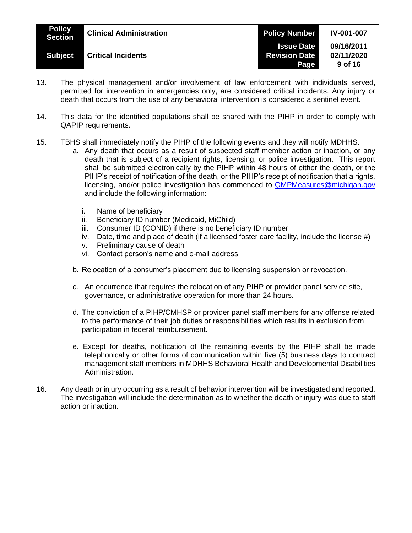| <b>Policy</b><br>Section | <b>Clinical Administration</b> | <b>Policy Number</b> | <b>IV-001-007</b> |
|--------------------------|--------------------------------|----------------------|-------------------|
|                          |                                | <b>Issue Date</b>    | 09/16/2011        |
| <b>Subject</b>           | <b>Critical Incidents</b>      | <b>Revision Date</b> | 02/11/2020        |
|                          |                                | Page                 | 9 of 16           |

- 13. The physical management and/or involvement of law enforcement with individuals served, permitted for intervention in emergencies only, are considered critical incidents. Any injury or death that occurs from the use of any behavioral intervention is considered a sentinel event.
- 14. This data for the identified populations shall be shared with the PIHP in order to comply with QAPIP requirements.
- 15. TBHS shall immediately notify the PIHP of the following events and they will notify MDHHS.
	- a. Any death that occurs as a result of suspected staff member action or inaction, or any death that is subject of a recipient rights, licensing, or police investigation. This report shall be submitted electronically by the PIHP within 48 hours of either the death, or the PIHP's receipt of notification of the death, or the PIHP's receipt of notification that a rights, licensing, and/or police investigation has commenced to [QMPMeasures@michigan.gov](mailto:QMPMeasures@michigan.gov) and include the following information:
		- i. Name of beneficiary
		- ii. Beneficiary ID number (Medicaid, MiChild)
		- iii. Consumer ID (CONID) if there is no beneficiary ID number
		- iv. Date, time and place of death (if a licensed foster care facility, include the license #)
		- v. Preliminary cause of death
		- vi. Contact person's name and e-mail address
	- b. Relocation of a consumer's placement due to licensing suspension or revocation.
	- c. An occurrence that requires the relocation of any PIHP or provider panel service site, governance, or administrative operation for more than 24 hours.
	- d. The conviction of a PIHP/CMHSP or provider panel staff members for any offense related to the performance of their job duties or responsibilities which results in exclusion from participation in federal reimbursement.
	- e. Except for deaths, notification of the remaining events by the PIHP shall be made telephonically or other forms of communication within five (5) business days to contract management staff members in MDHHS Behavioral Health and Developmental Disabilities Administration.
- 16. Any death or injury occurring as a result of behavior intervention will be investigated and reported. The investigation will include the determination as to whether the death or injury was due to staff action or inaction.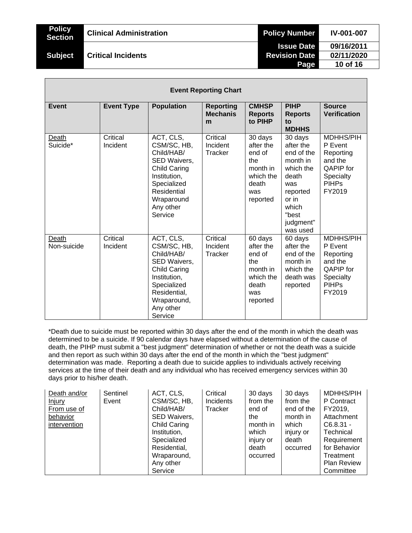| <b>Policy</b><br><b>Section</b> | <b>Clinical Administration</b> | <b>Policy Number</b> | <b>IV-001-007</b> |
|---------------------------------|--------------------------------|----------------------|-------------------|
|                                 |                                | <b>Issue Date</b>    | 09/16/2011        |
| <b>Subject</b>                  | <b>Critical Incidents</b>      | <b>Revision Date</b> | 02/11/2020        |
|                                 |                                | Page                 | 10 of 16          |
|                                 |                                |                      |                   |

|                      | <b>Event Reporting Chart</b> |                                                                                                                                                                     |                                          |                                                                                            |                                                                                                                                             |                                                                                                                       |  |  |
|----------------------|------------------------------|---------------------------------------------------------------------------------------------------------------------------------------------------------------------|------------------------------------------|--------------------------------------------------------------------------------------------|---------------------------------------------------------------------------------------------------------------------------------------------|-----------------------------------------------------------------------------------------------------------------------|--|--|
| Event                | <b>Event Type</b>            | <b>Population</b>                                                                                                                                                   | <b>Reporting</b><br><b>Mechanis</b><br>m | <b>CMHSP</b><br><b>Reports</b><br>to PIHP                                                  | <b>PIHP</b><br><b>Reports</b><br>to<br><b>MDHHS</b>                                                                                         | <b>Source</b><br><b>Verification</b>                                                                                  |  |  |
| Death<br>Suicide*    | Critical<br>Incident         | ACT, CLS,<br>CSM/SC, HB,<br>Child/HAB/<br>SED Waivers,<br><b>Child Caring</b><br>Institution,<br>Specialized<br>Residential<br>Wraparound<br>Any other<br>Service   | Critical<br>Incident<br>Tracker          | 30 days<br>after the<br>end of<br>the<br>month in<br>which the<br>death<br>was<br>reported | 30 days<br>after the<br>end of the<br>month in<br>which the<br>death<br>was<br>reported<br>or in<br>which<br>"best<br>judgment"<br>was used | <b>MDHHS/PIH</b><br>P Event<br>Reporting<br>and the<br><b>OAPIP</b> for<br><b>Specialty</b><br><b>PIHPs</b><br>FY2019 |  |  |
| Death<br>Non-suicide | Critical<br>Incident         | ACT, CLS,<br>CSM/SC, HB,<br>Child/HAB/<br>SED Waivers,<br><b>Child Caring</b><br>Institution,<br>Specialized<br>Residential,<br>Wraparound,<br>Any other<br>Service | Critical<br>Incident<br>Tracker          | 60 days<br>after the<br>end of<br>the<br>month in<br>which the<br>death<br>was<br>reported | 60 days<br>after the<br>end of the<br>month in<br>which the<br>death was<br>reported                                                        | MDHHS/PIH<br>P Event<br>Reporting<br>and the<br><b>QAPIP</b> for<br>Specialty<br><b>PIHPs</b><br>FY2019               |  |  |

\*Death due to suicide must be reported within 30 days after the end of the month in which the death was determined to be a suicide. If 90 calendar days have elapsed without a determination of the cause of death, the PIHP must submit a "best judgment" determination of whether or not the death was a suicide and then report as such within 30 days after the end of the month in which the "best judgment" determination was made. Reporting a death due to suicide applies to individuals actively receiving services at the time of their death and any individual who has received emergency services within 30 days prior to his/her death.

| Death and/or  | Sentinel | ACT, CLS,           | Critical  | 30 days   | 30 days    | <b>MDHHS/PIH</b>   |
|---------------|----------|---------------------|-----------|-----------|------------|--------------------|
| <u>Injury</u> | Event    | CSM/SC, HB,         | Incidents | from the  | from the   | P Contract         |
| From use of   |          | Child/HAB/          | Tracker   | end of    | end of the | FY2019.            |
| behavior      |          | SED Waivers,        |           | the       | month in   | Attachment         |
| intervention  |          | <b>Child Caring</b> |           | month in  | which      | $C6.8.31 -$        |
|               |          | Institution,        |           | which     | injury or  | Technical          |
|               |          | Specialized         |           | injury or | death      | Requirement        |
|               |          | Residential,        |           | death     | occurred   | for Behavior       |
|               |          | Wraparound,         |           | occurred  |            | Treatment          |
|               |          | Any other           |           |           |            | <b>Plan Review</b> |
|               |          | Service             |           |           |            | Committee          |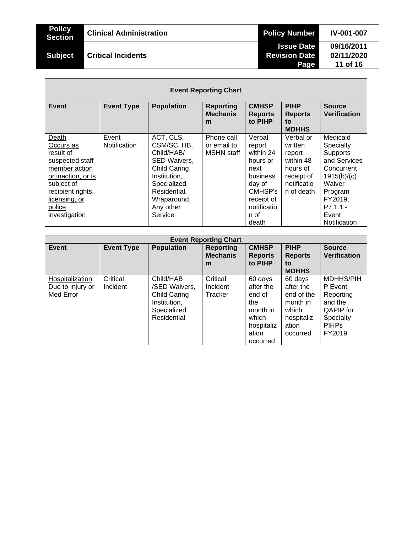| <b>Policy</b><br><b>Section</b> | <b>Clinical Administration</b> | <b>Policy Number</b> | <b>IV-001-007</b> |
|---------------------------------|--------------------------------|----------------------|-------------------|
|                                 |                                | <b>Issue Date</b>    | 09/16/2011        |
| <b>Subject</b>                  | <b>Critical Incidents</b>      | <b>Revision Date</b> | 02/11/2020        |
|                                 |                                | Page                 | 11 of 16          |
|                                 |                                |                      |                   |

Г

| <b>Event Reporting Chart</b>                                                                                                                                             |                       |                                                                                                                                                                     |                                                |                                                                                                                                  |                                                                                                    |                                                                                                                                                              |  |  |
|--------------------------------------------------------------------------------------------------------------------------------------------------------------------------|-----------------------|---------------------------------------------------------------------------------------------------------------------------------------------------------------------|------------------------------------------------|----------------------------------------------------------------------------------------------------------------------------------|----------------------------------------------------------------------------------------------------|--------------------------------------------------------------------------------------------------------------------------------------------------------------|--|--|
| Event                                                                                                                                                                    | <b>Event Type</b>     | <b>Population</b>                                                                                                                                                   | <b>Reporting</b><br><b>Mechanis</b><br>m       | <b>CMHSP</b><br><b>Reports</b><br>to PIHP                                                                                        | <b>PIHP</b><br><b>Reports</b><br>to<br><b>MDHHS</b>                                                | <b>Source</b><br><b>Verification</b>                                                                                                                         |  |  |
| Death<br>Occurs as<br>result of<br>suspected staff<br>member action<br>or inaction, or is<br>subject of<br>recipient rights,<br>licensing, or<br>police<br>investigation | Event<br>Notification | ACT, CLS,<br>CSM/SC, HB,<br>Child/HAB/<br>SED Waivers,<br><b>Child Caring</b><br>Institution.<br>Specialized<br>Residential,<br>Wraparound,<br>Any other<br>Service | Phone call<br>or email to<br><b>MSHN</b> staff | Verbal<br>report<br>within 24<br>hours or<br>next<br>business<br>day of<br>CMHSP's<br>receipt of<br>notificatio<br>n of<br>death | Verbal or<br>written<br>report<br>within 48<br>hours of<br>receipt of<br>notificatio<br>n of death | Medicaid<br>Specialty<br><b>Supports</b><br>and Services<br>Concurrent<br>1915(b)/(c)<br>Waiver<br>Program<br>FY2019,<br>$P7.1.1 -$<br>Event<br>Notification |  |  |

| <b>Event Reporting Chart</b>                     |                      |                                                                                                 |                                          |                                                                                               |                                                                                            |                                                                                                                |  |
|--------------------------------------------------|----------------------|-------------------------------------------------------------------------------------------------|------------------------------------------|-----------------------------------------------------------------------------------------------|--------------------------------------------------------------------------------------------|----------------------------------------------------------------------------------------------------------------|--|
| <b>Event</b>                                     | <b>Event Type</b>    | <b>Population</b>                                                                               | <b>Reporting</b><br><b>Mechanis</b><br>m | <b>CMHSP</b><br><b>Reports</b><br>to PIHP                                                     | <b>PIHP</b><br><b>Reports</b><br>to<br><b>MDHHS</b>                                        | <b>Source</b><br><b>Verification</b>                                                                           |  |
| Hospitalization<br>Due to Injury or<br>Med Error | Critical<br>Incident | Child/HAB<br>/SED Waivers,<br><b>Child Caring</b><br>Institution,<br>Specialized<br>Residential | Critical<br>Incident<br>Tracker          | 60 days<br>after the<br>end of<br>the<br>month in<br>which<br>hospitaliz<br>ation<br>occurred | 60 days<br>after the<br>end of the<br>month in<br>which<br>hospitaliz<br>ation<br>occurred | <b>MDHHS/PIH</b><br>P Event<br>Reporting<br>and the<br><b>QAPIP</b> for<br>Specialty<br><b>PIHPS</b><br>FY2019 |  |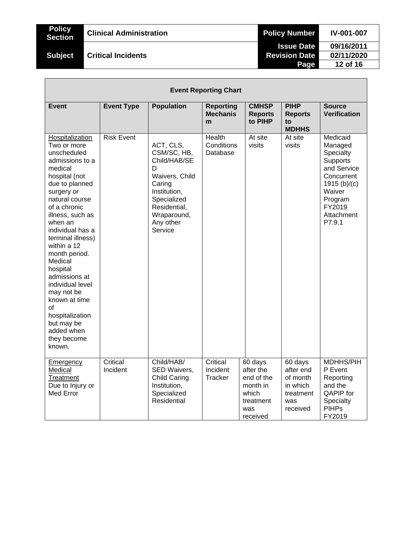| <b>Policy</b><br><b>Section</b> | <b>Clinical Administration</b> | <b>Policy Number</b> | <b>IV-001-007</b> |
|---------------------------------|--------------------------------|----------------------|-------------------|
|                                 |                                | <b>Issue Date</b>    | 09/16/2011        |
| <b>Subject</b>                  | <b>Critical Incidents</b>      | <b>Revision Date</b> | 02/11/2020        |
|                                 |                                | Page                 | 12 of 16          |

|                                                                                                                                                                                                                                                                                                                                                                                                                                                 | <b>Event Reporting Chart</b> |                                                                                                                                                                 |                                          |                                                                                         |                                                                              |                                                                                                                                                    |  |
|-------------------------------------------------------------------------------------------------------------------------------------------------------------------------------------------------------------------------------------------------------------------------------------------------------------------------------------------------------------------------------------------------------------------------------------------------|------------------------------|-----------------------------------------------------------------------------------------------------------------------------------------------------------------|------------------------------------------|-----------------------------------------------------------------------------------------|------------------------------------------------------------------------------|----------------------------------------------------------------------------------------------------------------------------------------------------|--|
| Event                                                                                                                                                                                                                                                                                                                                                                                                                                           | <b>Event Type</b>            | <b>Population</b>                                                                                                                                               | <b>Reporting</b><br><b>Mechanis</b><br>m | <b>CMHSP</b><br><b>Reports</b><br>to PIHP                                               | <b>PIHP</b><br><b>Reports</b><br>to<br><b>MDHHS</b>                          | <b>Source</b><br><b>Verification</b>                                                                                                               |  |
| Hospitalization<br>Two or more<br>unscheduled<br>admissions to a<br>medical<br>hospital (not<br>due to planned<br>surgery or<br>natural course<br>of a chronic<br>illness, such as<br>when an<br>individual has a<br>terminal illness)<br>within a 12<br>month period.<br>Medical<br>hospital<br>admissions at<br>individual level<br>may not be<br>known at time<br>οf<br>hospitalization<br>but may be<br>added when<br>they become<br>known. | <b>Risk Event</b>            | ACT, CLS,<br>CSM/SC, HB,<br>Child/HAB/SE<br>D<br>Waivers, Child<br>Caring<br>Institution,<br>Specialized<br>Residential,<br>Wraparound,<br>Any other<br>Service | Health<br>Conditions<br>Database         | At site<br>visits                                                                       | At site<br>visits                                                            | Medicaid<br>Managed<br>Specialty<br>Supports<br>and Service<br>Concurrent<br>1915 $(b)/(c)$<br>Waiver<br>Program<br>FY2019<br>Attachment<br>P7.9.1 |  |
| Emergency<br>Medical<br>Treatment<br>Due to Injury or<br><b>Med Error</b>                                                                                                                                                                                                                                                                                                                                                                       | Critical<br>Incident         | Child/HAB/<br>SED Waivers,<br><b>Child Caring</b><br>Institution,<br>Specialized<br>Residential                                                                 | Critical<br>Incident<br>Tracker          | 60 days<br>after the<br>end of the<br>month in<br>which<br>treatment<br>was<br>received | 60 days<br>after end<br>of month<br>in which<br>treatment<br>was<br>received | <b>MDHHS/PIH</b><br>P Event<br>Reporting<br>and the<br>QAPIP for<br>Specialty<br><b>PIHPs</b><br>FY2019                                            |  |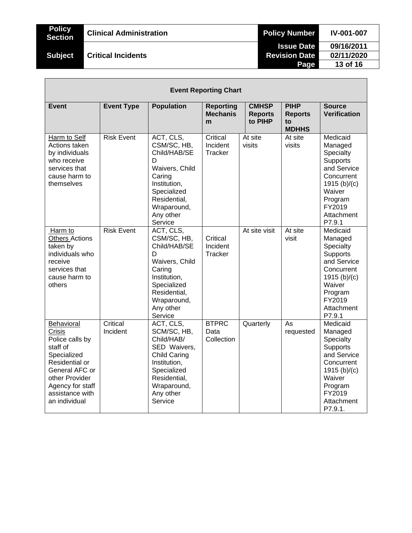| <b>Policy</b><br><b>Section</b> | <b>Clinical Administration</b> | <b>Policy Number</b> | <b>IV-001-007</b> |
|---------------------------------|--------------------------------|----------------------|-------------------|
|                                 |                                | <b>Issue Date</b>    | 09/16/2011        |
| <b>Subject</b>                  | <b>Critical Incidents</b>      | <b>Revision Date</b> | 02/11/2020        |
|                                 |                                | Page                 | 13 of 16          |

Л

|                                                                                                                                                                                         |                      |                                                                                                                                                                     | <b>Event Reporting Chart</b>             |                                           |                                                     |                                                                                                                                                            |
|-----------------------------------------------------------------------------------------------------------------------------------------------------------------------------------------|----------------------|---------------------------------------------------------------------------------------------------------------------------------------------------------------------|------------------------------------------|-------------------------------------------|-----------------------------------------------------|------------------------------------------------------------------------------------------------------------------------------------------------------------|
| <b>Event</b>                                                                                                                                                                            | <b>Event Type</b>    | <b>Population</b>                                                                                                                                                   | <b>Reporting</b><br><b>Mechanis</b><br>m | <b>CMHSP</b><br><b>Reports</b><br>to PIHP | <b>PIHP</b><br><b>Reports</b><br>to<br><b>MDHHS</b> | <b>Source</b><br><b>Verification</b>                                                                                                                       |
| Harm to Self<br>Actions taken<br>by individuals<br>who receive<br>services that<br>cause harm to<br>themselves                                                                          | <b>Risk Event</b>    | ACT, CLS,<br>CSM/SC, HB,<br>Child/HAB/SE<br>D<br>Waivers, Child<br>Caring<br>Institution,<br>Specialized<br>Residential,<br>Wraparound,<br>Any other<br>Service     | Critical<br>Incident<br>Tracker          | At site<br>visits                         | At site<br>visits                                   | Medicaid<br>Managed<br>Specialty<br><b>Supports</b><br>and Service<br>Concurrent<br>1915 $(b)/(c)$<br>Waiver<br>Program<br>FY2019<br>Attachment<br>P7.9.1  |
| Harm to<br><b>Others Actions</b><br>taken by<br>individuals who<br>receive<br>services that<br>cause harm to<br>others                                                                  | <b>Risk Event</b>    | ACT, CLS,<br>CSM/SC, HB,<br>Child/HAB/SE<br>D<br>Waivers, Child<br>Caring<br>Institution,<br>Specialized<br>Residential,<br>Wraparound,<br>Any other<br>Service     | Critical<br>Incident<br>Tracker          | At site visit                             | At site<br>visit                                    | Medicaid<br>Managed<br>Specialty<br><b>Supports</b><br>and Service<br>Concurrent<br>1915 $(b)/(c)$<br>Waiver<br>Program<br>FY2019<br>Attachment<br>P7.9.1  |
| Behavioral<br><b>Crisis</b><br>Police calls by<br>staff of<br>Specialized<br>Residential or<br>General AFC or<br>other Provider<br>Agency for staff<br>assistance with<br>an individual | Critical<br>Incident | ACT, CLS,<br>SCM/SC, HB,<br>Child/HAB/<br>SED Waivers,<br><b>Child Caring</b><br>Institution,<br>Specialized<br>Residential,<br>Wraparound,<br>Any other<br>Service | <b>BTPRC</b><br>Data<br>Collection       | Quarterly                                 | As<br>requested                                     | Medicaid<br>Managed<br>Specialty<br><b>Supports</b><br>and Service<br>Concurrent<br>1915 $(b)/(c)$<br>Waiver<br>Program<br>FY2019<br>Attachment<br>P7.9.1. |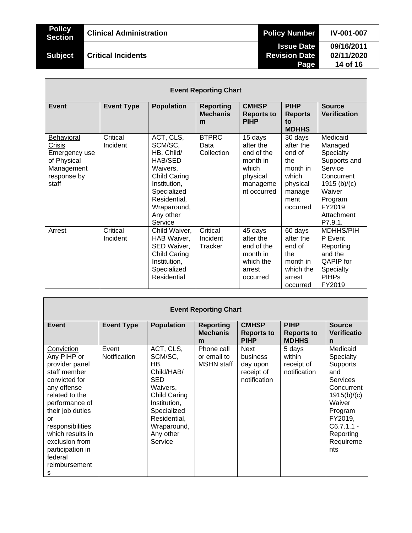|  | ıπ |                |
|--|----|----------------|
|  |    | $\blacksquare$ |

# **Subject Critical Incidents**

| <b>Event Reporting Chart</b>                                                               |                      |                                                                                                                                                                        |                                          |                                                                                                |                                                                                                      |                                                                                                                                                     |  |  |
|--------------------------------------------------------------------------------------------|----------------------|------------------------------------------------------------------------------------------------------------------------------------------------------------------------|------------------------------------------|------------------------------------------------------------------------------------------------|------------------------------------------------------------------------------------------------------|-----------------------------------------------------------------------------------------------------------------------------------------------------|--|--|
| Event                                                                                      | <b>Event Type</b>    | <b>Population</b>                                                                                                                                                      | <b>Reporting</b><br><b>Mechanis</b><br>m | <b>CMHSP</b><br><b>Reports to</b><br><b>PIHP</b>                                               | <b>PIHP</b><br><b>Reports</b><br>to<br><b>MDHHS</b>                                                  | <b>Source</b><br><b>Verification</b>                                                                                                                |  |  |
| Behavioral<br>Crisis<br>Emergency use<br>of Physical<br>Management<br>response by<br>staff | Critical<br>Incident | ACT, CLS,<br>SCM/SC,<br>HB, Child/<br>HAB/SED<br>Waivers,<br><b>Child Caring</b><br>Institution,<br>Specialized<br>Residential,<br>Wraparound,<br>Any other<br>Service | <b>BTPRC</b><br>Data<br>Collection       | 15 days<br>after the<br>end of the<br>month in<br>which<br>physical<br>manageme<br>nt occurred | 30 days<br>after the<br>end of<br>the<br>month in<br>which<br>physical<br>manage<br>ment<br>occurred | Medicaid<br>Managed<br>Specialty<br>Supports and<br>Service<br>Concurrent<br>1915 $(b)/(c)$<br>Waiver<br>Program<br>FY2019<br>Attachment<br>P7.9.1. |  |  |
| Arrest                                                                                     | Critical<br>Incident | Child Waiver,<br>HAB Waiver,<br>SED Waiver,<br>Child Caring<br>Institution,<br>Specialized<br><b>Residential</b>                                                       | Critical<br>Incident<br>Tracker          | 45 days<br>after the<br>end of the<br>month in<br>which the<br>arrest<br>occurred              | 60 days<br>after the<br>end of<br>the<br>month in<br>which the<br>arrest<br>occurred                 | MDHHS/PIH<br>P Event<br>Reporting<br>and the<br><b>QAPIP</b> for<br><b>Specialty</b><br><b>PIHPs</b><br>FY2019                                      |  |  |

| <b>Event Reporting Chart</b>                                                                                                                                                                                                                                             |                       |                                                                                                                                                                    |                                                |                                                                   |                                                  |                                                                                                                                                                                  |
|--------------------------------------------------------------------------------------------------------------------------------------------------------------------------------------------------------------------------------------------------------------------------|-----------------------|--------------------------------------------------------------------------------------------------------------------------------------------------------------------|------------------------------------------------|-------------------------------------------------------------------|--------------------------------------------------|----------------------------------------------------------------------------------------------------------------------------------------------------------------------------------|
| Event                                                                                                                                                                                                                                                                    | <b>Event Type</b>     | <b>Population</b>                                                                                                                                                  | <b>Reporting</b><br><b>Mechanis</b><br>m       | <b>CMHSP</b><br><b>Reports to</b><br><b>PIHP</b>                  | <b>PIHP</b><br><b>Reports to</b><br><b>MDHHS</b> | <b>Source</b><br><b>Verificatio</b><br>n                                                                                                                                         |
| Conviction<br>Any PIHP or<br>provider panel<br>staff member<br>convicted for<br>any offense<br>related to the<br>performance of<br>their job duties<br>or<br>responsibilities<br>which results in<br>exclusion from<br>participation in<br>federal<br>reimbursement<br>s | Event<br>Notification | ACT, CLS,<br>SCM/SC,<br>HB.<br>Child/HAB/<br>SED<br>Waivers,<br>Child Caring<br>Institution,<br>Specialized<br>Residential,<br>Wraparound,<br>Any other<br>Service | Phone call<br>or email to<br><b>MSHN</b> staff | <b>Next</b><br>business<br>day upon<br>receipt of<br>notification | 5 days<br>within<br>receipt of<br>notification   | Medicaid<br>Specialty<br><b>Supports</b><br>and<br><b>Services</b><br>Concurrent<br>1915(b)/(c)<br>Waiver<br>Program<br>FY2019,<br>$C6.7.1.1 -$<br>Reporting<br>Requireme<br>nts |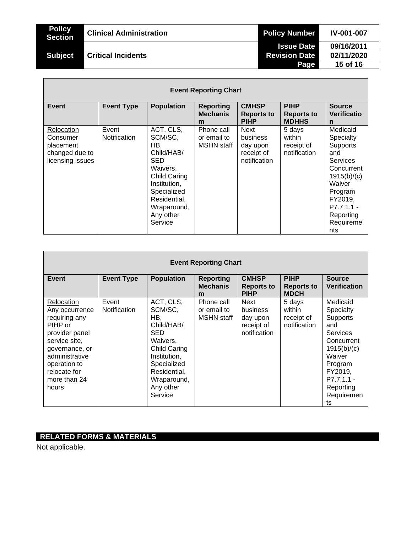| <b>Policy</b><br><b>Section</b> | <b>Clinical Administration</b> | <b>Policy Number</b> | <b>IV-001-007</b> |
|---------------------------------|--------------------------------|----------------------|-------------------|
|                                 |                                | <b>Issue Date</b>    | 09/16/2011        |
| <b>Subject</b>                  | <b>Critical Incidents</b>      | <b>Revision Date</b> | 02/11/2020        |
|                                 |                                | Page                 | 15 of 16          |
|                                 |                                |                      |                   |

| <b>Event Reporting Chart</b>                                              |                       |                                                                                                                                                                           |                                                |                                                                   |                                                  |                                                                                                                                                                  |
|---------------------------------------------------------------------------|-----------------------|---------------------------------------------------------------------------------------------------------------------------------------------------------------------------|------------------------------------------------|-------------------------------------------------------------------|--------------------------------------------------|------------------------------------------------------------------------------------------------------------------------------------------------------------------|
| <b>Event</b>                                                              | <b>Event Type</b>     | <b>Population</b>                                                                                                                                                         | <b>Reporting</b><br><b>Mechanis</b><br>m       | <b>CMHSP</b><br><b>Reports to</b><br><b>PIHP</b>                  | <b>PIHP</b><br><b>Reports to</b><br><b>MDHHS</b> | <b>Source</b><br>Verificatio<br>n                                                                                                                                |
| Relocation<br>Consumer<br>placement<br>changed due to<br>licensing issues | Event<br>Notification | ACT, CLS,<br>SCM/SC,<br>HB,<br>Child/HAB/<br>SED<br>Waivers,<br><b>Child Caring</b><br>Institution,<br>Specialized<br>Residential,<br>Wraparound,<br>Any other<br>Service | Phone call<br>or email to<br><b>MSHN</b> staff | <b>Next</b><br>business<br>day upon<br>receipt of<br>notification | 5 days<br>within<br>receipt of<br>notification   | Medicaid<br>Specialty<br>Supports<br>and<br>Services<br>Concurrent<br>1915(b)/(c)<br>Waiver<br>Program<br>FY2019,<br>P7.7.1.1 -<br>Reporting<br>Requireme<br>nts |

| <b>Event Reporting Chart</b>                                                                                                                                                             |                       |                                                                                                                                                                           |                                                |                                                            |                                                 |                                                                                                                                                                           |
|------------------------------------------------------------------------------------------------------------------------------------------------------------------------------------------|-----------------------|---------------------------------------------------------------------------------------------------------------------------------------------------------------------------|------------------------------------------------|------------------------------------------------------------|-------------------------------------------------|---------------------------------------------------------------------------------------------------------------------------------------------------------------------------|
| Event                                                                                                                                                                                    | <b>Event Type</b>     | <b>Population</b>                                                                                                                                                         | <b>Reporting</b><br><b>Mechanis</b><br>m       | <b>CMHSP</b><br><b>Reports to</b><br><b>PIHP</b>           | <b>PIHP</b><br><b>Reports to</b><br><b>MDCH</b> | <b>Source</b><br><b>Verification</b>                                                                                                                                      |
| Relocation<br>Any occurrence<br>requiring any<br>PIHP or<br>provider panel<br>service site,<br>governance, or<br>administrative<br>operation to<br>relocate for<br>more than 24<br>hours | Event<br>Notification | ACT, CLS,<br>SCM/SC,<br>HB.<br>Child/HAB/<br><b>SED</b><br>Waivers,<br>Child Caring<br>Institution,<br>Specialized<br>Residential,<br>Wraparound,<br>Any other<br>Service | Phone call<br>or email to<br><b>MSHN</b> staff | Next<br>business<br>day upon<br>receipt of<br>notification | 5 days<br>within<br>receipt of<br>notification  | Medicaid<br>Specialty<br>Supports<br>and<br><b>Services</b><br>Concurrent<br>1915(b)/(c)<br>Waiver<br>Program<br>FY2019.<br>$P7.7.1.1 -$<br>Reporting<br>Requiremen<br>ts |

# **RELATED FORMS & MATERIALS**

Not applicable.